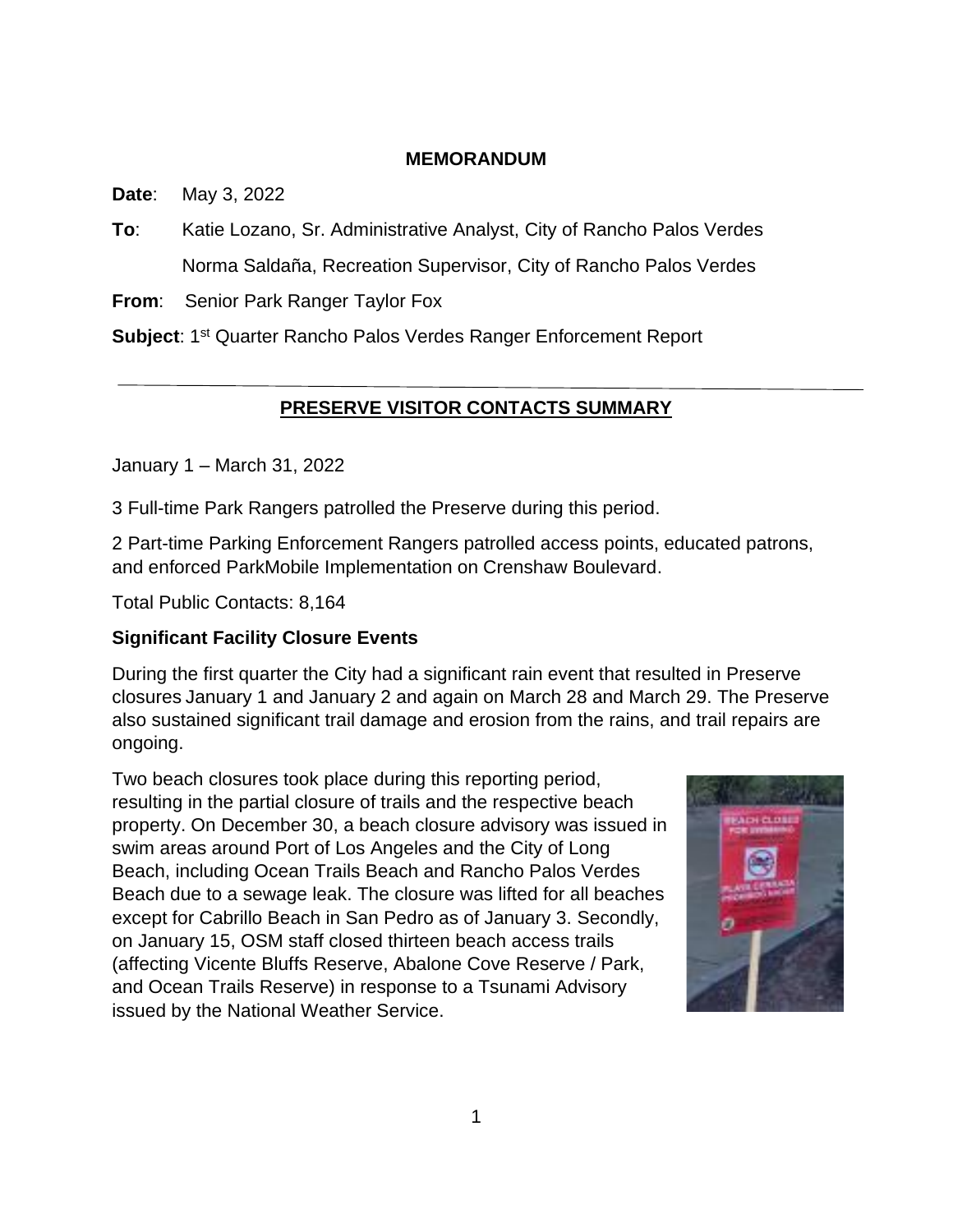### **MEMORANDUM**

**Date**: May 3, 2022

**To**: Katie Lozano, Sr. Administrative Analyst, City of Rancho Palos Verdes Norma Saldaña, Recreation Supervisor, City of Rancho Palos Verdes

**From**: Senior Park Ranger Taylor Fox

Subject: 1<sup>st</sup> Quarter Rancho Palos Verdes Ranger Enforcement Report

# **PRESERVE VISITOR CONTACTS SUMMARY**

January 1 – March 31, 2022

3 Full-time Park Rangers patrolled the Preserve during this period.

2 Part-time Parking Enforcement Rangers patrolled access points, educated patrons, and enforced ParkMobile Implementation on Crenshaw Boulevard.

Total Public Contacts: 8,164

# **Significant Facility Closure Events**

During the first quarter the City had a significant rain event that resulted in Preserve closures January 1 and January 2 and again on March 28 and March 29. The Preserve also sustained significant trail damage and erosion from the rains, and trail repairs are ongoing.

Two beach closures took place during this reporting period, resulting in the partial closure of trails and the respective beach property. On December 30, a beach closure advisory was issued in swim areas around Port of Los Angeles and the City of Long Beach, including Ocean Trails Beach and Rancho Palos Verdes Beach due to a sewage leak. The closure was lifted for all beaches except for Cabrillo Beach in San Pedro as of January 3. Secondly, on January 15, OSM staff closed thirteen beach access trails (affecting Vicente Bluffs Reserve, Abalone Cove Reserve / Park, and Ocean Trails Reserve) in response to a Tsunami Advisory issued by the National Weather Service.

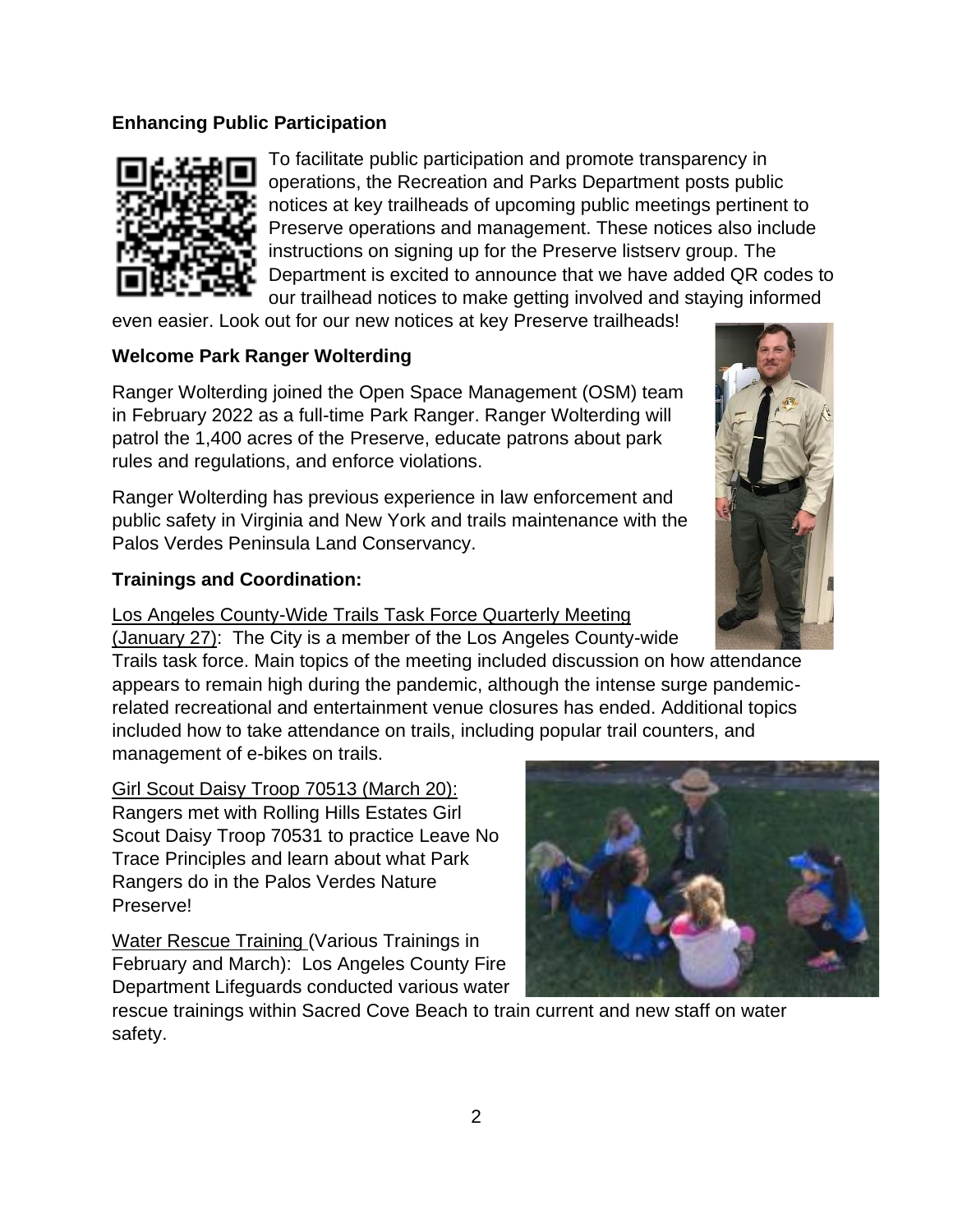## **Enhancing Public Participation**



To facilitate public participation and promote transparency in operations, the Recreation and Parks Department posts public notices at key trailheads of upcoming public meetings pertinent to Preserve operations and management. These notices also include instructions on signing up for the Preserve listserv group. The Department is excited to announce that we have added QR codes to our trailhead notices to make getting involved and staying informed

even easier. Look out for our new notices at key Preserve trailheads!

#### **Welcome Park Ranger Wolterding**

Ranger Wolterding joined the Open Space Management (OSM) team in February 2022 as a full-time Park Ranger. Ranger Wolterding will patrol the 1,400 acres of the Preserve, educate patrons about park rules and regulations, and enforce violations.

Ranger Wolterding has previous experience in law enforcement and public safety in Virginia and New York and trails maintenance with the Palos Verdes Peninsula Land Conservancy.

#### **Trainings and Coordination:**

Los Angeles County-Wide Trails Task Force Quarterly Meeting

(January 27): The City is a member of the Los Angeles County-wide Trails task force. Main topics of the meeting included discussion on how attendance appears to remain high during the pandemic, although the intense surge pandemicrelated recreational and entertainment venue closures has ended. Additional topics included how to take attendance on trails, including popular trail counters, and management of e-bikes on trails.

Girl Scout Daisy Troop 70513 (March 20): Rangers met with Rolling Hills Estates Girl Scout Daisy Troop 70531 to practice Leave No Trace Principles and learn about what Park Rangers do in the Palos Verdes Nature Preserve!

Water Rescue Training (Various Trainings in February and March): Los Angeles County Fire Department Lifeguards conducted various water



rescue trainings within Sacred Cove Beach to train current and new staff on water safety.

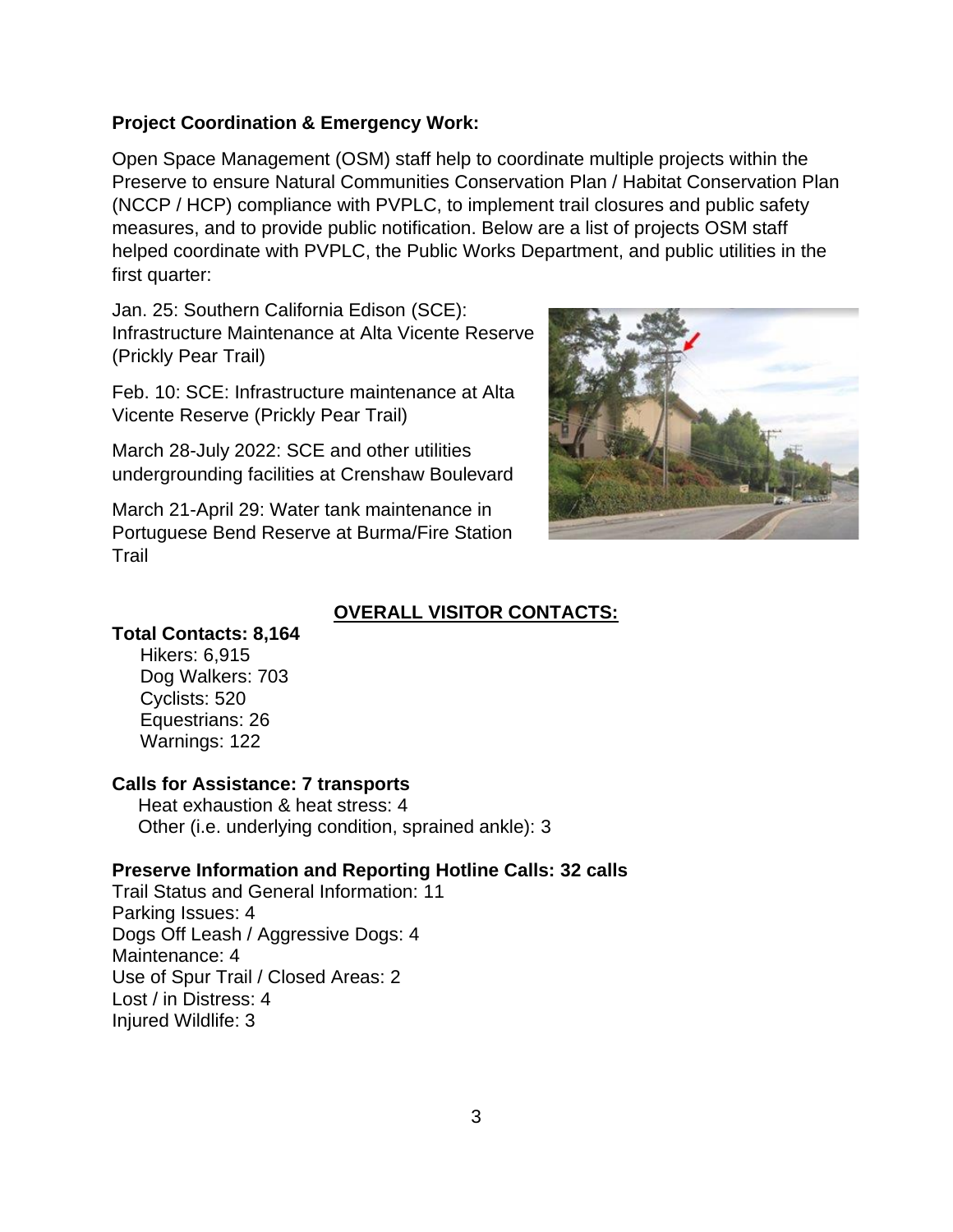#### **Project Coordination & Emergency Work:**

Open Space Management (OSM) staff help to coordinate multiple projects within the Preserve to ensure Natural Communities Conservation Plan / Habitat Conservation Plan (NCCP / HCP) compliance with PVPLC, to implement trail closures and public safety measures, and to provide public notification. Below are a list of projects OSM staff helped coordinate with PVPLC, the Public Works Department, and public utilities in the first quarter:

Jan. 25: Southern California Edison (SCE): Infrastructure Maintenance at Alta Vicente Reserve (Prickly Pear Trail)

Feb. 10: SCE: Infrastructure maintenance at Alta Vicente Reserve (Prickly Pear Trail)

March 28-July 2022: SCE and other utilities undergrounding facilities at Crenshaw Boulevard

March 21-April 29: Water tank maintenance in Portuguese Bend Reserve at Burma/Fire Station Trail



## **OVERALL VISITOR CONTACTS:**

#### **Total Contacts: 8,164**

Hikers: 6,915 Dog Walkers: 703 Cyclists: 520 Equestrians: 26 Warnings: 122

## **Calls for Assistance: 7 transports**

 Heat exhaustion & heat stress: 4 Other (i.e. underlying condition, sprained ankle): 3

## **Preserve Information and Reporting Hotline Calls: 32 calls**

Trail Status and General Information: 11 Parking Issues: 4 Dogs Off Leash / Aggressive Dogs: 4 Maintenance: 4 Use of Spur Trail / Closed Areas: 2 Lost / in Distress: 4 Injured Wildlife: 3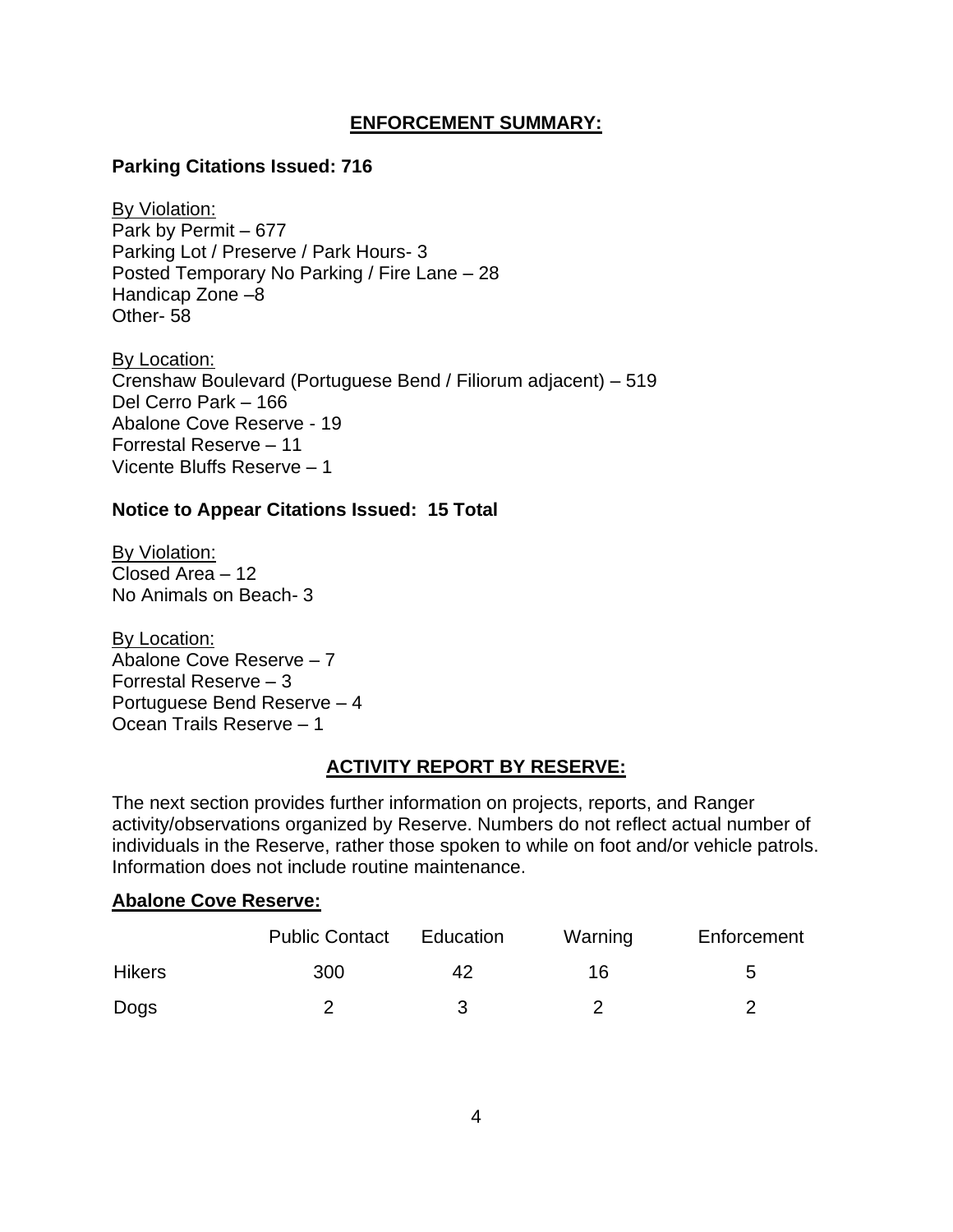## **ENFORCEMENT SUMMARY:**

#### **Parking Citations Issued: 716**

By Violation: Park by Permit – 677 Parking Lot / Preserve / Park Hours- 3 Posted Temporary No Parking / Fire Lane – 28 Handicap Zone –8 Other- 58

By Location: Crenshaw Boulevard (Portuguese Bend / Filiorum adjacent) – 519 Del Cerro Park – 166 Abalone Cove Reserve - 19 Forrestal Reserve – 11 Vicente Bluffs Reserve – 1

#### **Notice to Appear Citations Issued: 15 Total**

By Violation: Closed Area – 12 No Animals on Beach- 3

By Location: Abalone Cove Reserve – 7 Forrestal Reserve – 3 Portuguese Bend Reserve – 4 Ocean Trails Reserve – 1

#### **ACTIVITY REPORT BY RESERVE:**

The next section provides further information on projects, reports, and Ranger activity/observations organized by Reserve. Numbers do not reflect actual number of individuals in the Reserve, rather those spoken to while on foot and/or vehicle patrols. Information does not include routine maintenance.

#### **Abalone Cove Reserve:**

|               | <b>Public Contact</b> | Education | Warning | Enforcement |
|---------------|-----------------------|-----------|---------|-------------|
| <b>Hikers</b> | 300                   | 42        | 16      | b           |
| Dogs          |                       | ર         |         |             |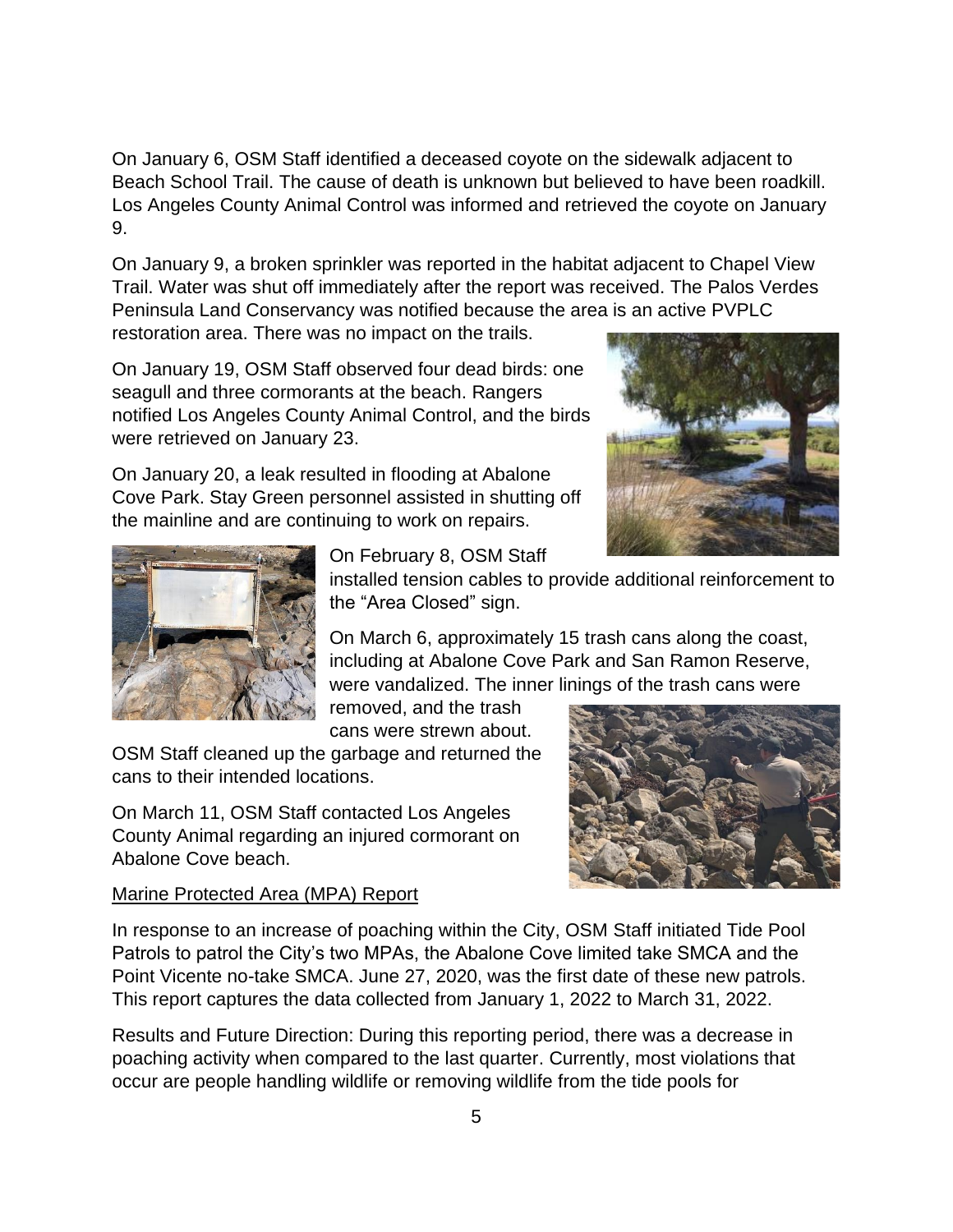On January 6, OSM Staff identified a deceased coyote on the sidewalk adjacent to Beach School Trail. The cause of death is unknown but believed to have been roadkill. Los Angeles County Animal Control was informed and retrieved the coyote on January 9.

On January 9, a broken sprinkler was reported in the habitat adjacent to Chapel View Trail. Water was shut off immediately after the report was received. The Palos Verdes Peninsula Land Conservancy was notified because the area is an active PVPLC

restoration area. There was no impact on the trails.

On January 19, OSM Staff observed four dead birds: one seagull and three cormorants at the beach. Rangers notified Los Angeles County Animal Control, and the birds were retrieved on January 23.

On January 20, a leak resulted in flooding at Abalone Cove Park. Stay Green personnel assisted in shutting off the mainline and are continuing to work on repairs.





On February 8, OSM Staff

installed tension cables to provide additional reinforcement to the "Area Closed" sign.

On March 6, approximately 15 trash cans along the coast, including at Abalone Cove Park and San Ramon Reserve, were vandalized. The inner linings of the trash cans were

removed, and the trash cans were strewn about.

OSM Staff cleaned up the garbage and returned the cans to their intended locations.

On March 11, OSM Staff contacted Los Angeles County Animal regarding an injured cormorant on Abalone Cove beach.

## Marine Protected Area (MPA) Report



In response to an increase of poaching within the City, OSM Staff initiated Tide Pool Patrols to patrol the City's two MPAs, the Abalone Cove limited take SMCA and the Point Vicente no-take SMCA. June 27, 2020, was the first date of these new patrols. This report captures the data collected from January 1, 2022 to March 31, 2022.

Results and Future Direction: During this reporting period, there was a decrease in poaching activity when compared to the last quarter. Currently, most violations that occur are people handling wildlife or removing wildlife from the tide pools for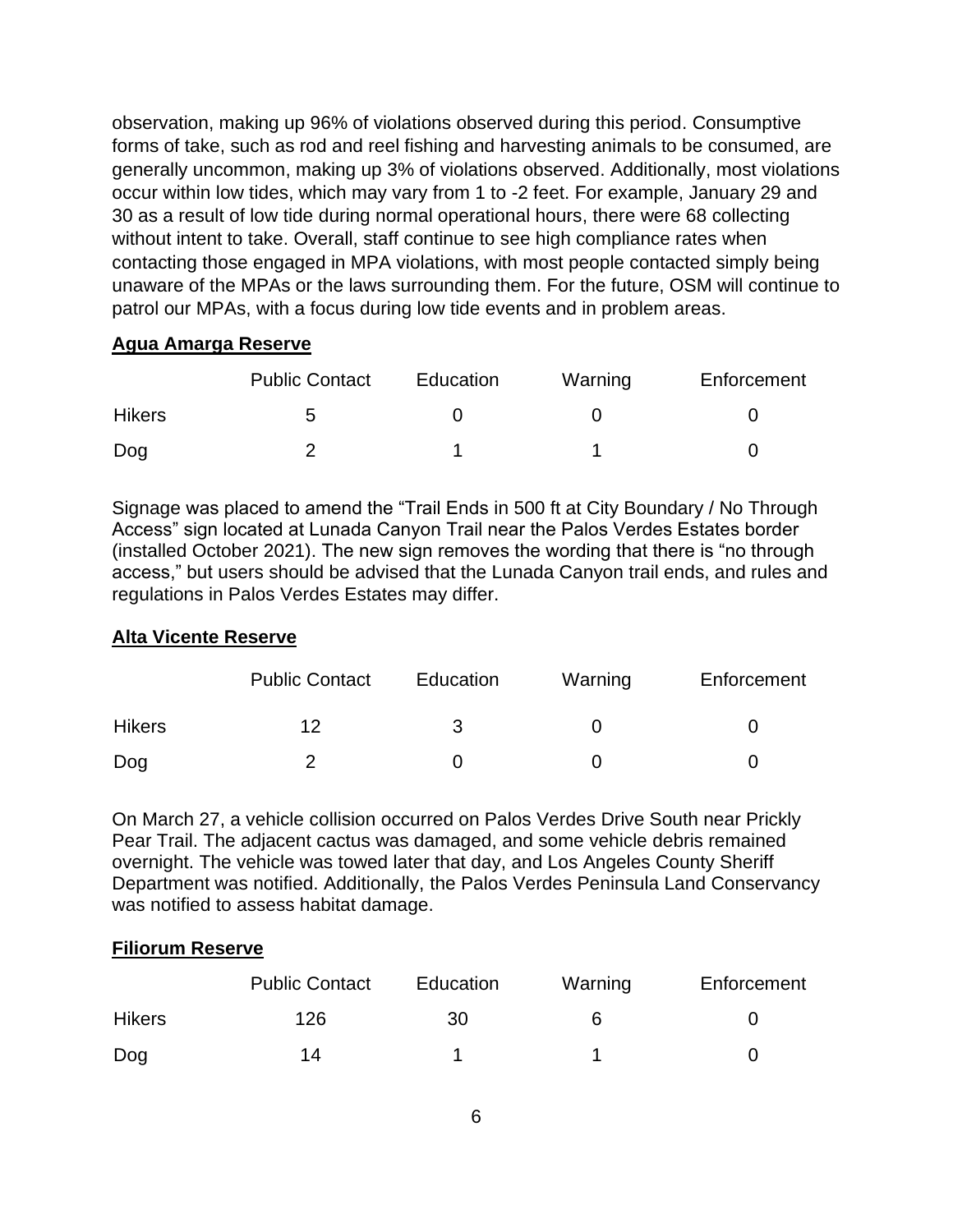observation, making up 96% of violations observed during this period. Consumptive forms of take, such as rod and reel fishing and harvesting animals to be consumed, are generally uncommon, making up 3% of violations observed. Additionally, most violations occur within low tides, which may vary from 1 to -2 feet. For example, January 29 and 30 as a result of low tide during normal operational hours, there were 68 collecting without intent to take. Overall, staff continue to see high compliance rates when contacting those engaged in MPA violations, with most people contacted simply being unaware of the MPAs or the laws surrounding them. For the future, OSM will continue to patrol our MPAs, with a focus during low tide events and in problem areas.

# **Agua Amarga Reserve**

|               | <b>Public Contact</b> | Education | Warning | Enforcement |
|---------------|-----------------------|-----------|---------|-------------|
| <b>Hikers</b> | :5                    |           |         |             |
| Dog           |                       |           |         |             |

Signage was placed to amend the "Trail Ends in 500 ft at City Boundary / No Through Access" sign located at Lunada Canyon Trail near the Palos Verdes Estates border (installed October 2021). The new sign removes the wording that there is "no through access," but users should be advised that the Lunada Canyon trail ends, and rules and regulations in Palos Verdes Estates may differ.

# **Alta Vicente Reserve**

|               | <b>Public Contact</b> | Education | Warning | Enforcement |
|---------------|-----------------------|-----------|---------|-------------|
| <b>Hikers</b> | 12                    |           |         |             |
| Dog           |                       |           |         |             |

On March 27, a vehicle collision occurred on Palos Verdes Drive South near Prickly Pear Trail. The adjacent cactus was damaged, and some vehicle debris remained overnight. The vehicle was towed later that day, and Los Angeles County Sheriff Department was notified. Additionally, the Palos Verdes Peninsula Land Conservancy was notified to assess habitat damage.

# **Filiorum Reserve**

|               | <b>Public Contact</b> | Education | Warning | Enforcement |
|---------------|-----------------------|-----------|---------|-------------|
| <b>Hikers</b> | 126                   | 30        |         |             |
| Dog           | 14                    |           |         |             |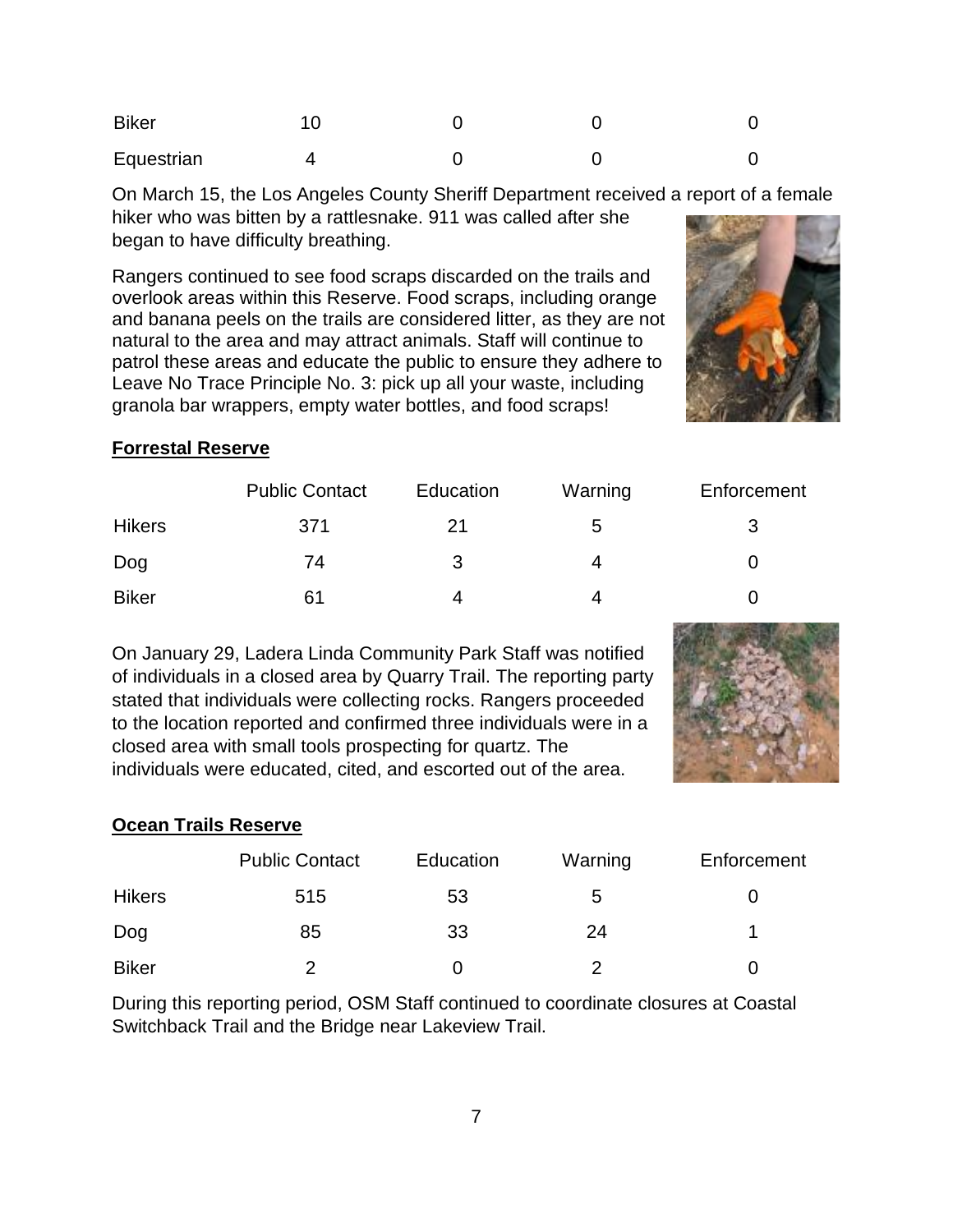| <b>Biker</b> |  |  |
|--------------|--|--|
| Equestrian   |  |  |

On March 15, the Los Angeles County Sheriff Department received a report of a female hiker who was bitten by a rattlesnake. 911 was called after she began to have difficulty breathing.

Rangers continued to see food scraps discarded on the trails and overlook areas within this Reserve. Food scraps, including orange and banana peels on the trails are considered litter, as they are not natural to the area and may attract animals. Staff will continue to patrol these areas and educate the public to ensure they adhere to Leave No Trace Principle No. 3: pick up all your waste, including granola bar wrappers, empty water bottles, and food scraps!



#### **Forrestal Reserve**

|               | <b>Public Contact</b> | Education | Warning | Enforcement       |
|---------------|-----------------------|-----------|---------|-------------------|
| <b>Hikers</b> | 371                   | 21        | 5       |                   |
| Dog           | 74                    | 3         | 4       | $\mathbf{\Omega}$ |
| <b>Biker</b>  | 61                    | 4         | 4       |                   |

On January 29, Ladera Linda Community Park Staff was notified of individuals in a closed area by Quarry Trail. The reporting party stated that individuals were collecting rocks. Rangers proceeded to the location reported and confirmed three individuals were in a closed area with small tools prospecting for quartz. The individuals were educated, cited, and escorted out of the area.



## **Ocean Trails Reserve**

|               | <b>Public Contact</b> | Education | Warning | Enforcement |
|---------------|-----------------------|-----------|---------|-------------|
| <b>Hikers</b> | 515                   | 53        | b       |             |
| Dog           | 85                    | 33        | 24      |             |
| <b>Biker</b>  |                       |           |         |             |

During this reporting period, OSM Staff continued to coordinate closures at Coastal Switchback Trail and the Bridge near Lakeview Trail.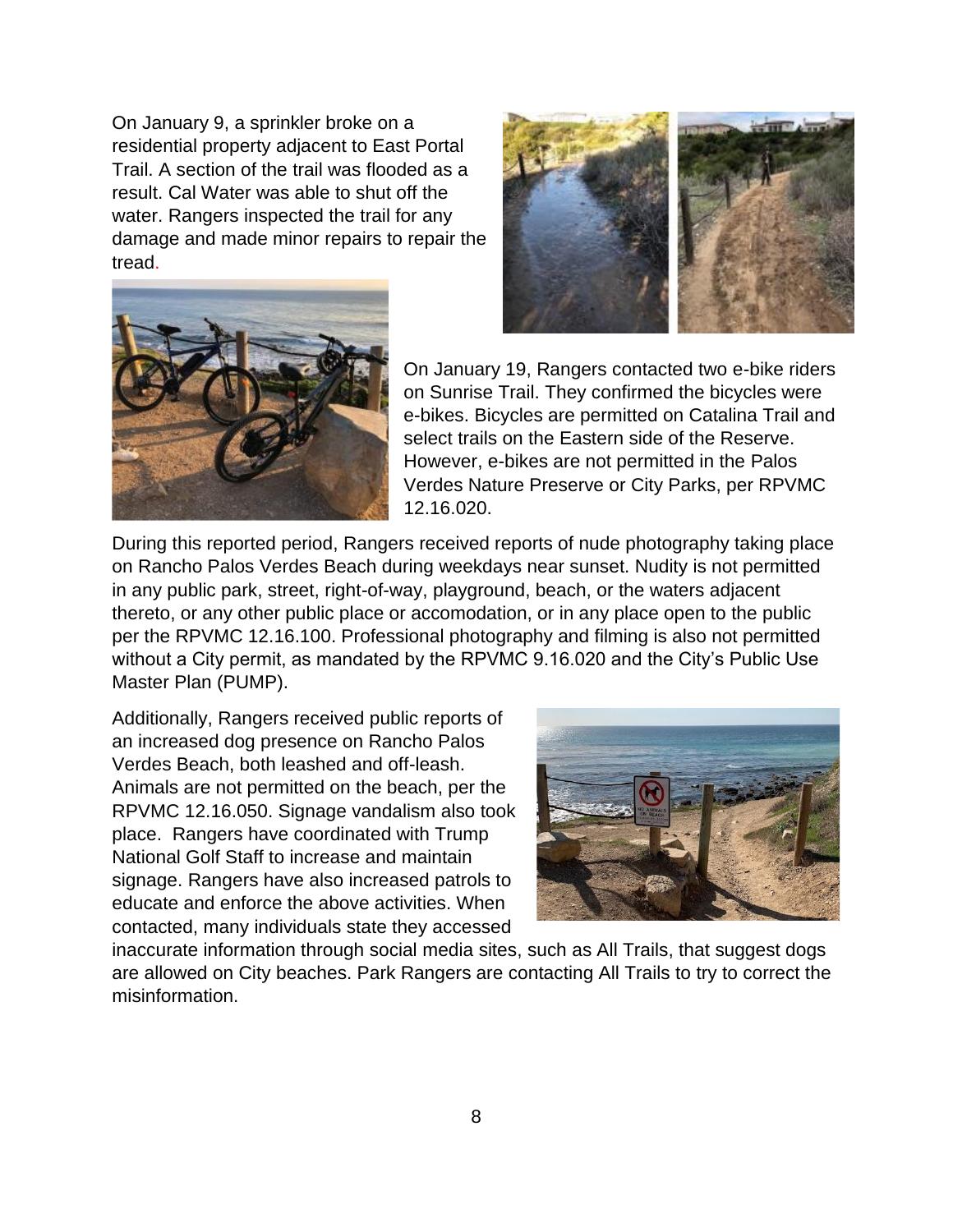On January 9, a sprinkler broke on a residential property adjacent to East Portal Trail. A section of the trail was flooded as a result. Cal Water was able to shut off the water. Rangers inspected the trail for any damage and made minor repairs to repair the tread.





On January 19, Rangers contacted two e-bike riders on Sunrise Trail. They confirmed the bicycles were e-bikes. Bicycles are permitted on Catalina Trail and select trails on the Eastern side of the Reserve. However, e-bikes are not permitted in the Palos Verdes Nature Preserve or City Parks, per RPVMC 12.16.020.

During this reported period, Rangers received reports of nude photography taking place on Rancho Palos Verdes Beach during weekdays near sunset. Nudity is not permitted in any public park, street, right-of-way, playground, beach, or the waters adjacent thereto, or any other public place or accomodation, or in any place open to the public per the RPVMC 12.16.100. Professional photography and filming is also not permitted without a City permit, as mandated by the RPVMC 9.16.020 and the City's Public Use Master Plan (PUMP).

Additionally, Rangers received public reports of an increased dog presence on Rancho Palos Verdes Beach, both leashed and off-leash. Animals are not permitted on the beach, per the RPVMC 12.16.050. Signage vandalism also took place. Rangers have coordinated with Trump National Golf Staff to increase and maintain signage. Rangers have also increased patrols to educate and enforce the above activities. When contacted, many individuals state they accessed



inaccurate information through social media sites, such as All Trails, that suggest dogs are allowed on City beaches. Park Rangers are contacting All Trails to try to correct the misinformation.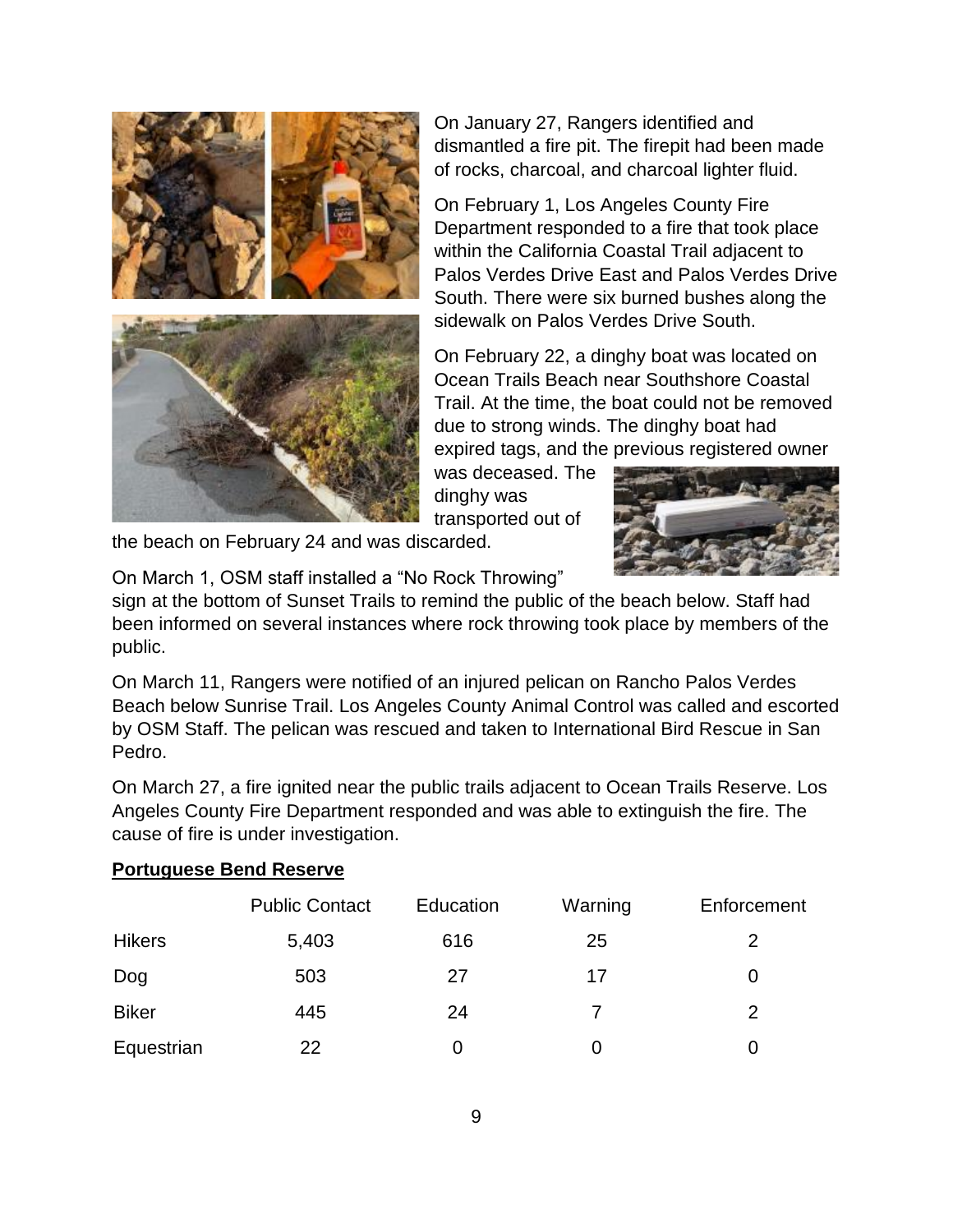

On January 27, Rangers identified and dismantled a fire pit. The firepit had been made of rocks, charcoal, and charcoal lighter fluid.

On February 1, Los Angeles County Fire Department responded to a fire that took place within the California Coastal Trail adjacent to Palos Verdes Drive East and Palos Verdes Drive South. There were six burned bushes along the sidewalk on Palos Verdes Drive South.

On February 22, a dinghy boat was located on Ocean Trails Beach near Southshore Coastal Trail. At the time, the boat could not be removed due to strong winds. The dinghy boat had expired tags, and the previous registered owner

was deceased. The dinghy was transported out of



the beach on February 24 and was discarded.

On March 1, OSM staff installed a "No Rock Throwing"

sign at the bottom of Sunset Trails to remind the public of the beach below. Staff had been informed on several instances where rock throwing took place by members of the public.

On March 11, Rangers were notified of an injured pelican on Rancho Palos Verdes Beach below Sunrise Trail. Los Angeles County Animal Control was called and escorted by OSM Staff. The pelican was rescued and taken to International Bird Rescue in San Pedro.

On March 27, a fire ignited near the public trails adjacent to Ocean Trails Reserve. Los Angeles County Fire Department responded and was able to extinguish the fire. The cause of fire is under investigation.

## **Portuguese Bend Reserve**

|               | <b>Public Contact</b> | Education | Warning | Enforcement |
|---------------|-----------------------|-----------|---------|-------------|
| <b>Hikers</b> | 5,403                 | 616       | 25      |             |
| Dog           | 503                   | 27        | 17      | 0           |
| <b>Biker</b>  | 445                   | 24        | 7       |             |
| Equestrian    | 22                    |           |         | O           |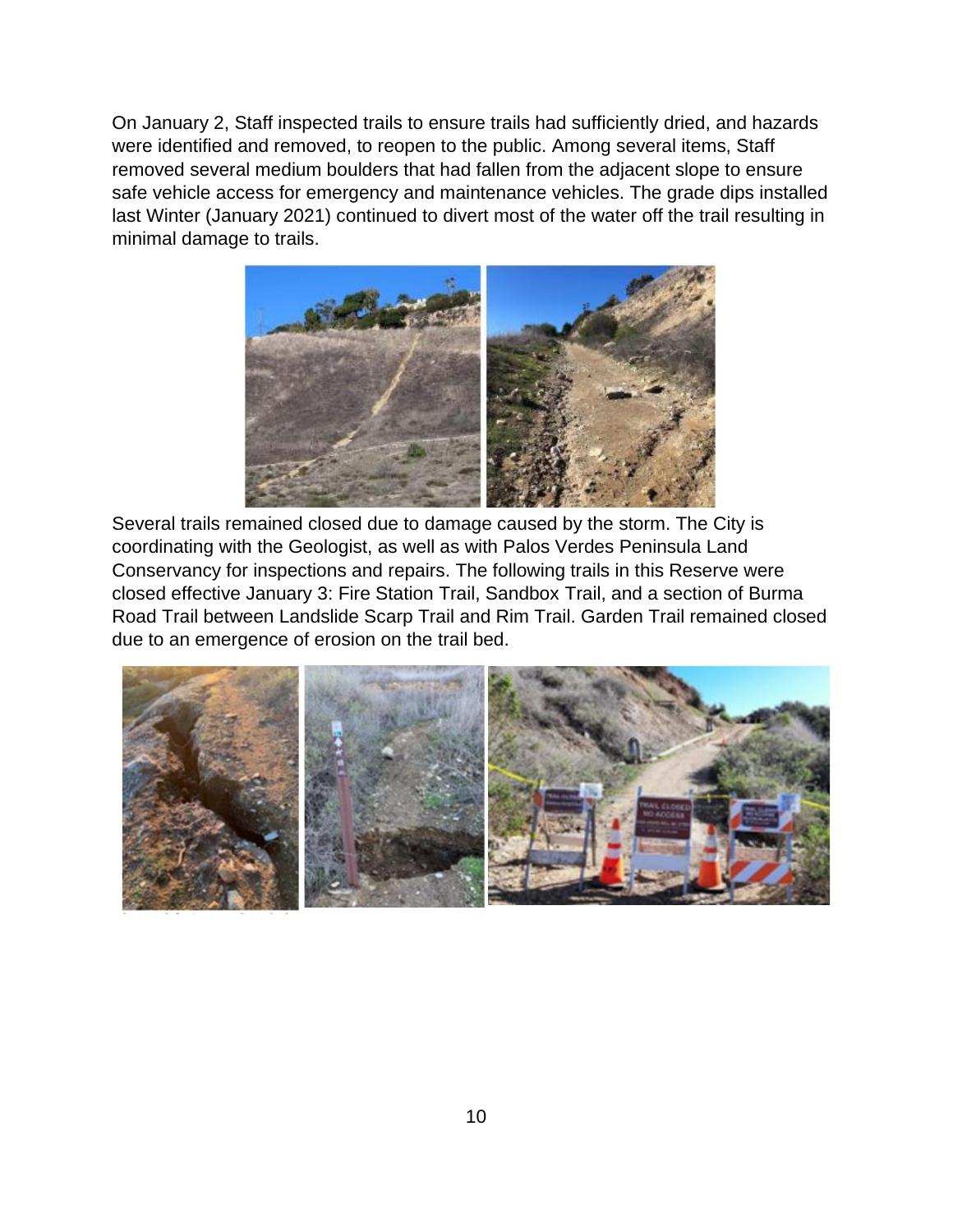On January 2, Staff inspected trails to ensure trails had sufficiently dried, and hazards were identified and removed, to reopen to the public. Among several items, Staff removed several medium boulders that had fallen from the adjacent slope to ensure safe vehicle access for emergency and maintenance vehicles. The grade dips installed last Winter (January 2021) continued to divert most of the water off the trail resulting in minimal damage to trails.



Several trails remained closed due to damage caused by the storm. The City is coordinating with the Geologist, as well as with Palos Verdes Peninsula Land Conservancy for inspections and repairs. The following trails in this Reserve were closed effective January 3: Fire Station Trail, Sandbox Trail, and a section of Burma Road Trail between Landslide Scarp Trail and Rim Trail. Garden Trail remained closed due to an emergence of erosion on the trail bed.

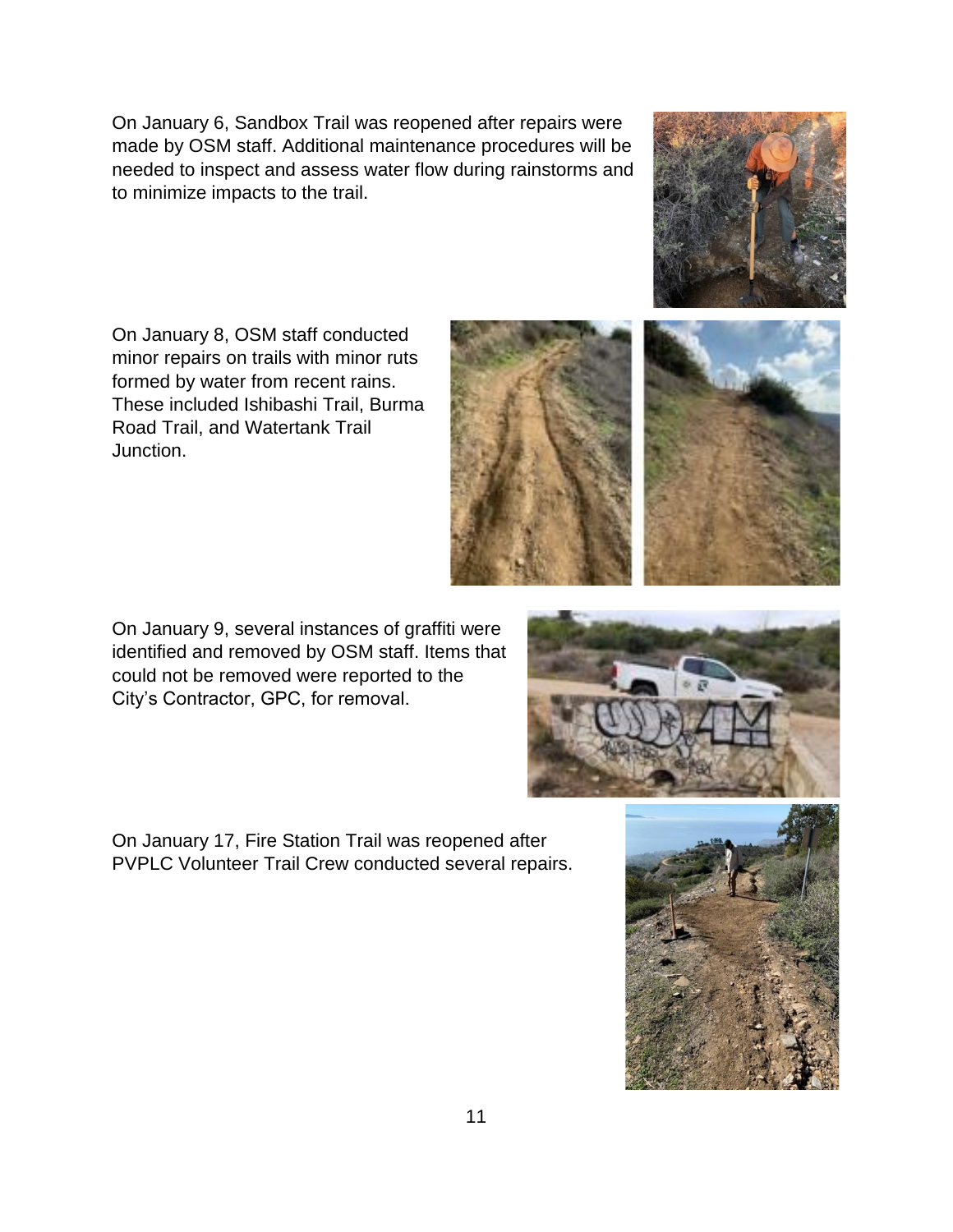On January 6, Sandbox Trail was reopened after repairs were made by OSM staff. Additional maintenance procedures will be needed to inspect and assess water flow during rainstorms and to minimize impacts to the trail.

On January 8, OSM staff conducted minor repairs on trails with minor ruts formed by water from recent rains. These included Ishibashi Trail, Burma Road Trail, and Watertank Trail Junction.

On January 9, several instances of graffiti were identified and removed by OSM staff. Items that could not be removed were reported to the City's Contractor, GPC, for removal.

On January 17, Fire Station Trail was reopened after PVPLC Volunteer Trail Crew conducted several repairs.







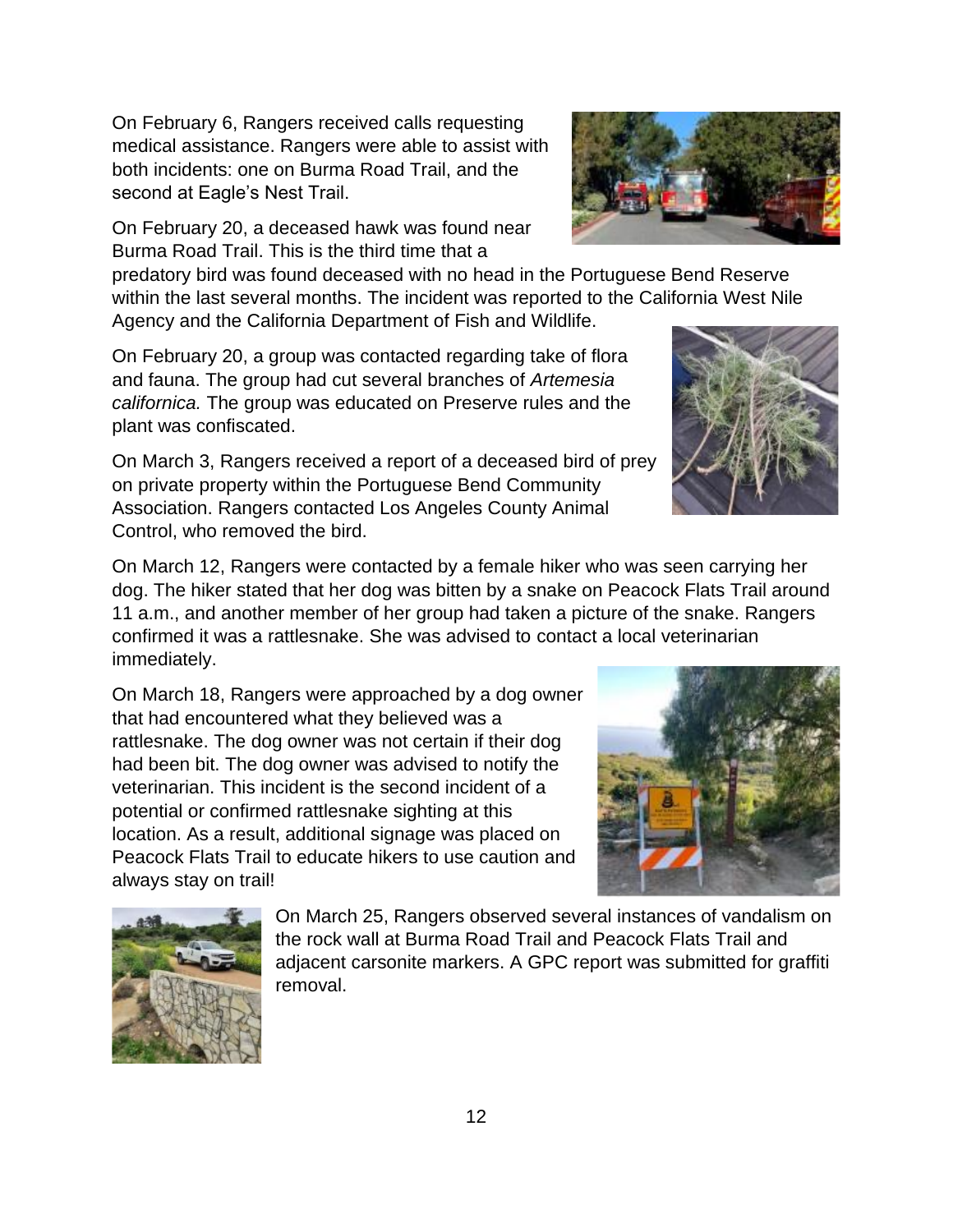On February 6, Rangers received calls requesting medical assistance. Rangers were able to assist with both incidents: one on Burma Road Trail, and the second at Eagle's Nest Trail.

On February 20, a deceased hawk was found near Burma Road Trail. This is the third time that a

predatory bird was found deceased with no head in the Portuguese Bend Reserve within the last several months. The incident was reported to the California West Nile Agency and the California Department of Fish and Wildlife.

On February 20, a group was contacted regarding take of flora and fauna. The group had cut several branches of *Artemesia californica.* The group was educated on Preserve rules and the plant was confiscated.

On March 3, Rangers received a report of a deceased bird of prey on private property within the Portuguese Bend Community Association. Rangers contacted Los Angeles County Animal Control, who removed the bird.

On March 12, Rangers were contacted by a female hiker who was seen carrying her dog. The hiker stated that her dog was bitten by a snake on Peacock Flats Trail around 11 a.m., and another member of her group had taken a picture of the snake. Rangers confirmed it was a rattlesnake. She was advised to contact a local veterinarian immediately.

On March 18, Rangers were approached by a dog owner that had encountered what they believed was a rattlesnake. The dog owner was not certain if their dog had been bit. The dog owner was advised to notify the veterinarian. This incident is the second incident of a potential or confirmed rattlesnake sighting at this location. As a result, additional signage was placed on Peacock Flats Trail to educate hikers to use caution and always stay on trail!

> On March 25, Rangers observed several instances of vandalism on the rock wall at Burma Road Trail and Peacock Flats Trail and adjacent carsonite markers. A GPC report was submitted for graffiti removal.







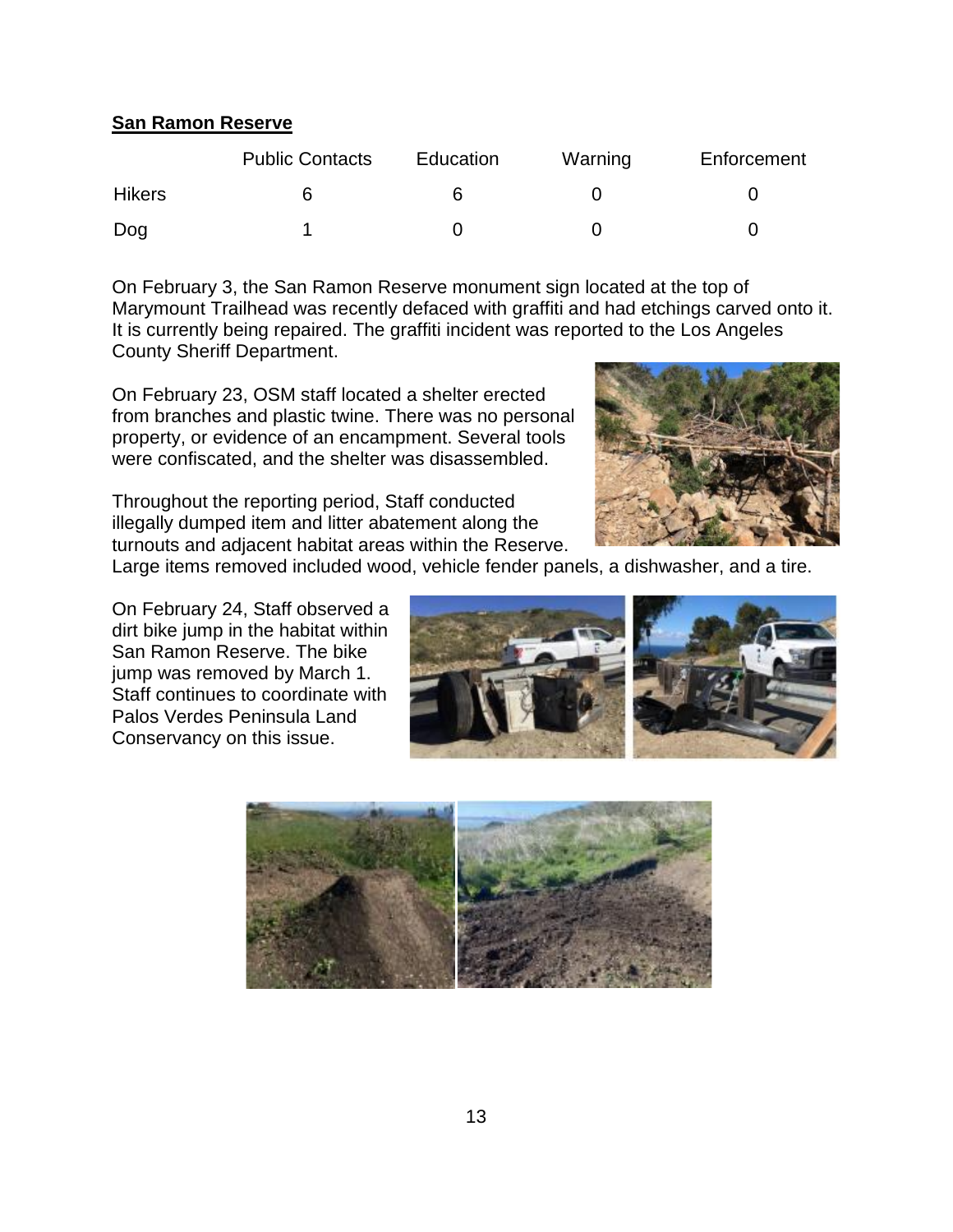# 13

# **San Ramon Reserve**

|               | <b>Public Contacts</b> | Education | Warning | Enforcement |
|---------------|------------------------|-----------|---------|-------------|
| <b>Hikers</b> |                        |           |         |             |
| Dog           |                        |           |         |             |

On February 3, the San Ramon Reserve monument sign located at the top of Marymount Trailhead was recently defaced with graffiti and had etchings carved onto it. It is currently being repaired. The graffiti incident was reported to the Los Angeles County Sheriff Department.

On February 23, OSM staff located a shelter erected from branches and plastic twine. There was no personal property, or evidence of an encampment. Several tools were confiscated, and the shelter was disassembled.

Throughout the reporting period, Staff conducted illegally dumped item and litter abatement along the turnouts and adjacent habitat areas within the Reserve.

Large items removed included wood, vehicle fender panels, a dishwasher, and a tire.

On February 24, Staff observed a dirt bike jump in the habitat within San Ramon Reserve. The bike jump was removed by March 1. Staff continues to coordinate with Palos Verdes Peninsula Land Conservancy on this issue.



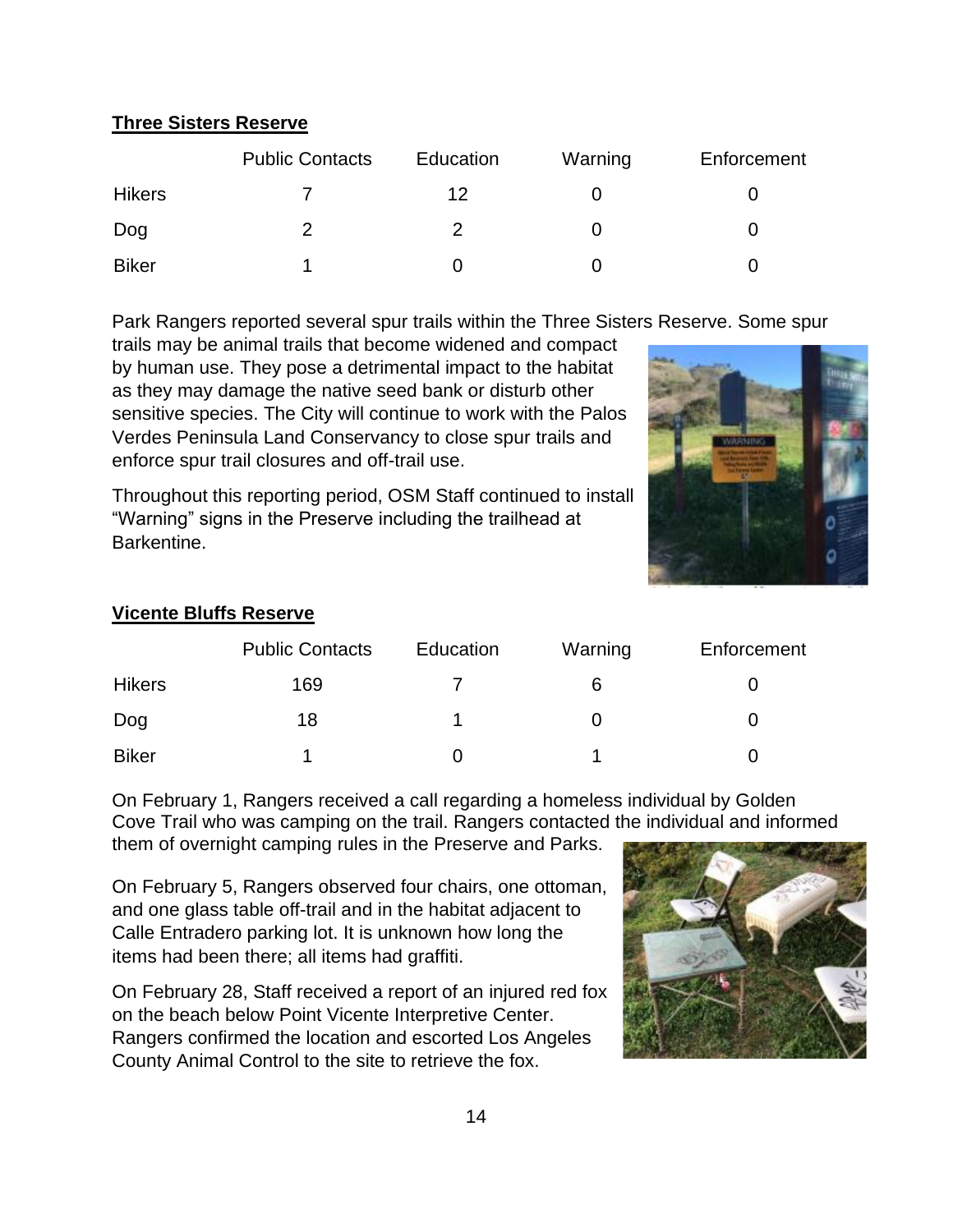# **Three Sisters Reserve**

|               | <b>Public Contacts</b> | Education | Warning | Enforcement |
|---------------|------------------------|-----------|---------|-------------|
| <b>Hikers</b> |                        | 12        |         |             |
| Dog           |                        |           |         |             |
| <b>Biker</b>  |                        |           |         |             |

Park Rangers reported several spur trails within the Three Sisters Reserve. Some spur

trails may be animal trails that become widened and compact by human use. They pose a detrimental impact to the habitat as they may damage the native seed bank or disturb other sensitive species. The City will continue to work with the Palos Verdes Peninsula Land Conservancy to close spur trails and enforce spur trail closures and off-trail use.

Throughout this reporting period, OSM Staff continued to install "Warning" signs in the Preserve including the trailhead at Barkentine.



# **Vicente Bluffs Reserve**

|               | <b>Public Contacts</b> | Education | Warning | Enforcement |
|---------------|------------------------|-----------|---------|-------------|
| <b>Hikers</b> | 169                    |           | 6       |             |
| Dog           | 18                     |           |         |             |
| <b>Biker</b>  |                        |           |         |             |

On February 1, Rangers received a call regarding a homeless individual by Golden Cove Trail who was camping on the trail. Rangers contacted the individual and informed

them of overnight camping rules in the Preserve and Parks.

On February 5, Rangers observed four chairs, one ottoman, and one glass table off-trail and in the habitat adjacent to Calle Entradero parking lot. It is unknown how long the items had been there; all items had graffiti.

On February 28, Staff received a report of an injured red fox on the beach below Point Vicente Interpretive Center. Rangers confirmed the location and escorted Los Angeles County Animal Control to the site to retrieve the fox.